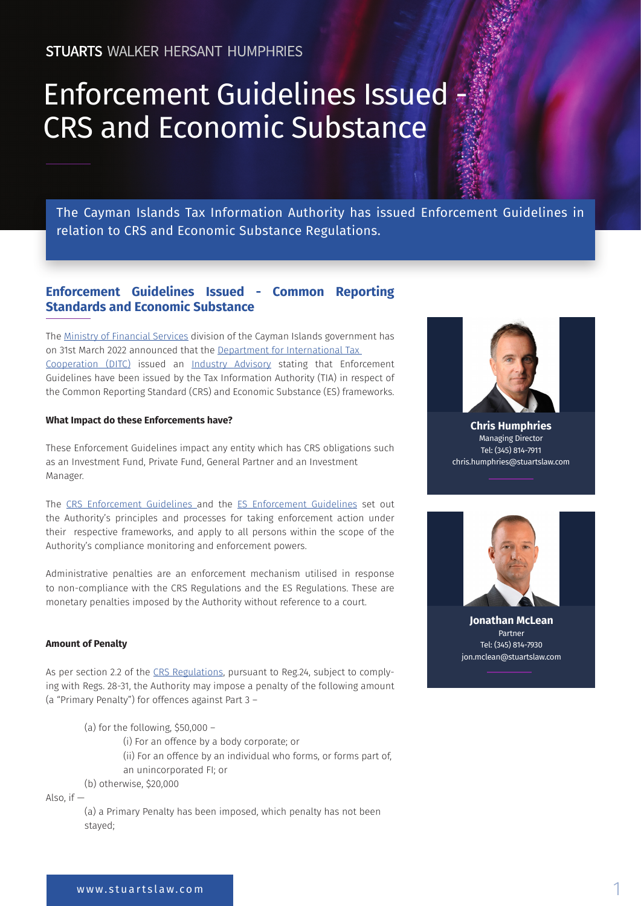# Enforcement Guidelines Issued - CRS and Economic Substance

The Cayman Islands Tax Information Authority has issued Enforcement Guidelines in relation to CRS and Economic Substance Regulations.

## **Enforcement Guidelines Issued - Common Reporting Standards and Economic Substance**

The [Ministry of Financial Services](https://www.mfs.ky/) division of the Cayman Islands government has on 31st March 2022 announced that the [Department for International Tax](https://www.ditc.ky/)  [Cooperation \(DITC\)](https://www.ditc.ky/) issued an [Industry Advisory](https://www.ditc.ky/wp-content/uploads/Industry-Advisory-Enforcement-Guidelines-CRS-and-ES.pdf) stating that Enforcement Guidelines have been issued by the Tax Information Authority (TIA) in respect of the Common Reporting Standard (CRS) and Economic Substance (ES) frameworks.

#### **What Impact do these Enforcements have?**

These Enforcement Guidelines impact any entity which has CRS obligations such as an Investment Fund, Private Fund, General Partner and an Investment Manager.

The [CRS Enforcement Guidelines](https://www.ditc.ky/wp-content/uploads/CRS-Enforcement-Guidelines.pdf?utm_medium=email&_hsmi=208658228&_hsenc=p2ANqtz-8id4aMeB7OrfUqgPZ0TMTl12tnTvGuqO6r7BfA7u05sV15A4A_uwIEOyD-ec5CjoFnU3OWfLLMFoucApRme2eTtlMU8RZY_J9CopTLCb7_7IQ6BZo&utm_content=208658228&utm_source=hs_email) and the [ES Enforcement Guidelines](https://www.ditc.ky/wp-content/uploads/ES-Enforcement-Guidelines.pdf?utm_medium=email&_hsmi=208658228&_hsenc=p2ANqtz--dHcYtEIIyJjEJ8h8vYWtoVgurqSvYMuW7AVJzYl37-2CIQxdYaI0iwT6ZfLC0XWkGyyxkvb5o5oZmnwW7Ma1QMr9A_f1dE_D0wSYa3qEFbNHgHK4&utm_content=208658228&utm_source=hs_email) set out the Authority's principles and processes for taking enforcement action under their respective frameworks, and apply to all persons within the scope of the Authority's compliance monitoring and enforcement powers.

Administrative penalties are an enforcement mechanism utilised in response to non-compliance with the CRS Regulations and the ES Regulations. These are monetary penalties imposed by the Authority without reference to a court.

#### **Amount of Penalty**

As per section 2.2 of the [CRS Regulations](https://www.ditc.ky/wp-content/uploads/CRS-Enforcement-Guidelines.pdf?utm_medium=email&_hsmi=208658228&_hsenc=p2ANqtz-_1Mqu4e9Lv_gBDNqJ5uY5W0QPY4k6vpoXo9ENE0SQjHAMzYTyoZ2pclylE7eg_OoYjpFkQvw-9QWQkk-siAB7-A6UFS4ABtWfc6AlSZPs6vssawPc&utm_content=208658228&utm_source=hs_email), pursuant to Reg.24, subject to complying with Regs. 28-31, the Authority may impose a penalty of the following amount (a "Primary Penalty") for offences against Part 3 –

(a) for the following, \$50,000 –

- (i) For an offence by a body corporate; or
- (ii) For an offence by an individual who forms, or forms part of,
- an unincorporated FI; or

(b) otherwise, \$20,000

Also,  $if -$ 

(a) a Primary Penalty has been imposed, which penalty has not been stayed;



**Chris Humphries** Managing Director Tel: (345) 814-7911 chris.humphries@stuartslaw.com



**Jonathan McLean** Partner Tel: (345) 814-7930 jon.mclean@stuartslaw.com